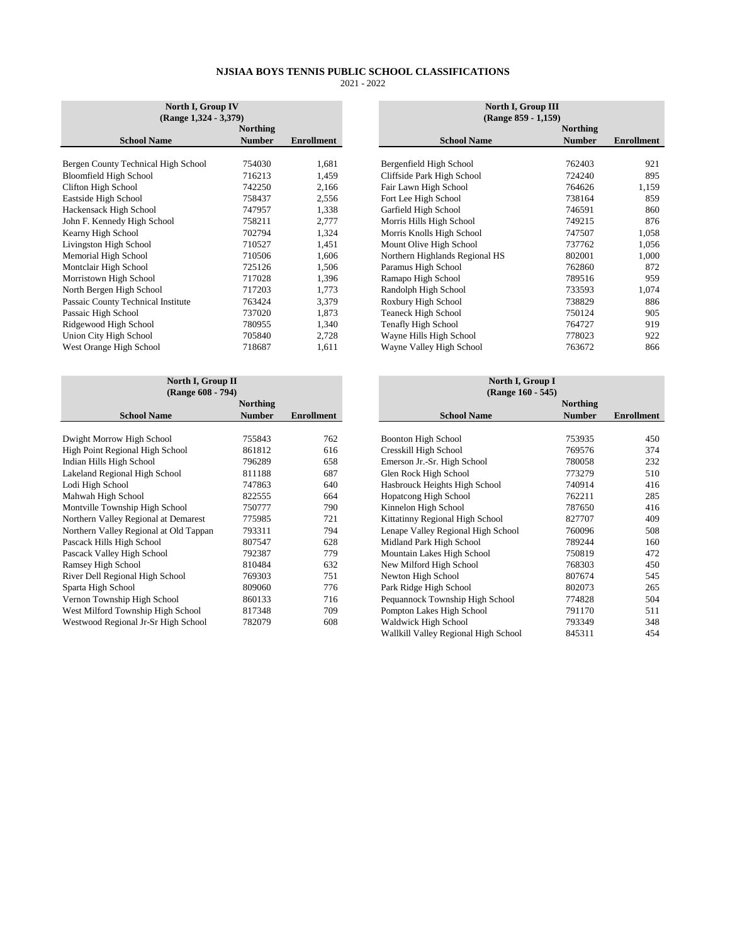| North I, Group IV<br>$(Range 1,324 - 3,379)$ | North I, Group III<br>(Range 859 - 1,159) |            |                                |
|----------------------------------------------|-------------------------------------------|------------|--------------------------------|
|                                              | Northing                                  |            |                                |
| <b>School Name</b>                           | <b>Number</b>                             | Enrollment | <b>School Name</b>             |
|                                              |                                           |            |                                |
| Bergen County Technical High School          | 754030                                    | 1,681      | Bergenfield High School        |
| Bloomfield High School                       | 716213                                    | 1,459      | Cliffside Park High School     |
| Clifton High School                          | 742250                                    | 2,166      | Fair Lawn High School          |
| Eastside High School                         | 758437                                    | 2,556      | Fort Lee High School           |
| Hackensack High School                       | 747957                                    | 1,338      | Garfield High School           |
| John F. Kennedy High School                  | 758211                                    | 2,777      | Morris Hills High School       |
| Kearny High School                           | 702794                                    | 1,324      | Morris Knolls High School      |
| Livingston High School                       | 710527                                    | 1,451      | Mount Olive High School        |
| Memorial High School                         | 710506                                    | 1,606      | Northern Highlands Regional HS |
| Montclair High School                        | 725126                                    | 1,506      | Paramus High School            |
| Morristown High School                       | 717028                                    | 1,396      | Ramapo High School             |
| North Bergen High School                     | 717203                                    | 1,773      | Randolph High School           |
| Passaic County Technical Institute           | 763424                                    | 3.379      | Roxbury High School            |
| Passaic High School                          | 737020                                    | 1,873      | <b>Teaneck High School</b>     |
| Ridgewood High School                        | 780955                                    | 1,340      | Tenafly High School            |
| Union City High School                       | 705840                                    | 2,728      | Wayne Hills High School        |
| West Orange High School                      | 718687                                    | 1,611      | Wayne Valley High School       |

| North I, Group II<br>(Range 608 - 794) |                            |  |  |  |  |  |  |
|----------------------------------------|----------------------------|--|--|--|--|--|--|
| <b>Northing</b><br><b>Number</b>       | <b>Enrollment</b>          |  |  |  |  |  |  |
| 755843<br>861812                       | 762<br>616<br>658          |  |  |  |  |  |  |
| 811188<br>747863<br>822555             | 687<br>640<br>664          |  |  |  |  |  |  |
| 750777<br>775985<br>793311             | 790<br>721<br>794          |  |  |  |  |  |  |
| 807547<br>792387<br>810484             | 628<br>779<br>632<br>751   |  |  |  |  |  |  |
| 809060<br>860133<br>817348             | 776<br>716<br>709<br>608   |  |  |  |  |  |  |
|                                        | 796289<br>769303<br>782079 |  |  |  |  |  |  |

| North I, Group IV<br>$(Range 1,324 - 3,379)$ |                                  |                   | North I, Group III<br>(Range 859 - 1,159) |                                  |
|----------------------------------------------|----------------------------------|-------------------|-------------------------------------------|----------------------------------|
| <b>School Name</b>                           | <b>Northing</b><br><b>Number</b> | <b>Enrollment</b> | <b>School Name</b>                        | <b>Northing</b><br><b>Number</b> |
|                                              |                                  |                   |                                           |                                  |
| Bergen County Technical High School          | 754030                           | 1,681             | Bergenfield High School                   | 762403                           |
| Bloomfield High School                       | 716213                           | 1,459             | Cliffside Park High School                | 724240                           |
| Clifton High School                          | 742250                           | 2,166             | Fair Lawn High School                     | 764626                           |
| Eastside High School                         | 758437                           | 2,556             | Fort Lee High School                      | 738164                           |
| Hackensack High School                       | 747957                           | 1,338             | Garfield High School                      | 746591                           |
| John F. Kennedy High School                  | 758211                           | 2,777             | Morris Hills High School                  | 749215                           |
| Kearny High School                           | 702794                           | 1,324             | Morris Knolls High School                 | 747507                           |
| Livingston High School                       | 710527                           | 1,451             | Mount Olive High School                   | 737762                           |
| Memorial High School                         | 710506                           | 1,606             | Northern Highlands Regional HS            | 802001                           |
| Montclair High School                        | 725126                           | 1,506             | Paramus High School                       | 762860                           |
| Morristown High School                       | 717028                           | 1,396             | Ramapo High School                        | 789516                           |
| North Bergen High School                     | 717203                           | 1,773             | Randolph High School                      | 733593                           |
| Passaic County Technical Institute           | 763424                           | 3,379             | Roxbury High School                       | 738829                           |
| Passaic High School                          | 737020                           | 1,873             | <b>Teaneck High School</b>                | 750124                           |
| Ridgewood High School                        | 780955                           | 1,340             | <b>Tenafly High School</b>                | 764727                           |
| Union City High School                       | 705840                           | 2,728             | Wayne Hills High School                   | 778023                           |
| West Orange High School                      | 718687                           | 1,611             | Wayne Valley High School                  | 763672                           |
|                                              |                                  |                   |                                           |                                  |

| North I, Group II<br>(Range 608 - 794) |                 |                   | North I, Group I<br>(Range 160 - 545) |                 |            |
|----------------------------------------|-----------------|-------------------|---------------------------------------|-----------------|------------|
|                                        | <b>Northing</b> |                   |                                       | <b>Northing</b> |            |
| <b>School Name</b>                     | <b>Number</b>   | <b>Enrollment</b> | <b>School Name</b>                    | <b>Number</b>   | Enrollment |
|                                        |                 |                   |                                       |                 |            |
| Dwight Morrow High School              | 755843          | 762               | <b>Boonton High School</b>            | 753935          | 450        |
| High Point Regional High School        | 861812          | 616               | Cresskill High School                 | 769576          | 374        |
| Indian Hills High School               | 796289          | 658               | Emerson Jr.-Sr. High School           | 780058          | 232        |
| Lakeland Regional High School          | 811188          | 687               | Glen Rock High School                 | 773279          | 510        |
| Lodi High School                       | 747863          | 640               | Hasbrouck Heights High School         | 740914          | 416        |
| Mahwah High School                     | 822555          | 664               | Hopatcong High School                 | 762211          | 285        |
| Montville Township High School         | 750777          | 790               | Kinnelon High School                  | 787650          | 416        |
| Northern Valley Regional at Demarest   | 775985          | 721               | Kittatinny Regional High School       | 827707          | 409        |
| Northern Valley Regional at Old Tappan | 793311          | 794               | Lenape Valley Regional High School    | 760096          | 508        |
| Pascack Hills High School              | 807547          | 628               | Midland Park High School              | 789244          | 160        |
| Pascack Valley High School             | 792387          | 779               | Mountain Lakes High School            | 750819          | 472        |
| Ramsey High School                     | 810484          | 632               | New Milford High School               | 768303          | 450        |
| River Dell Regional High School        | 769303          | 751               | Newton High School                    | 807674          | 545        |
| Sparta High School                     | 809060          | 776               | Park Ridge High School                | 802073          | 265        |
| Vernon Township High School            | 860133          | 716               | Pequannock Township High School       | 774828          | 504        |
| West Milford Township High School      | 817348          | 709               | Pompton Lakes High School             | 791170          | 511        |
| Westwood Regional Jr-Sr High School    | 782079          | 608               | Waldwick High School                  | 793349          | 348        |
|                                        |                 |                   | Wallkill Valley Regional High School  | 845311          | 454        |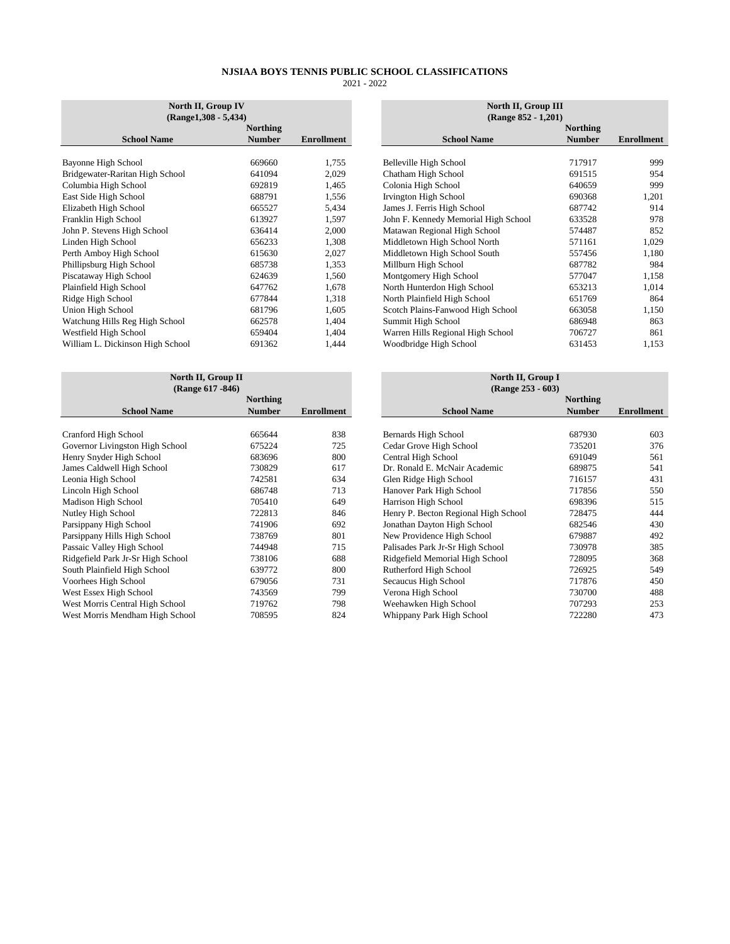| North II, Group IV<br>$(Range1, 308 - 5, 434)$ |                 |                   | North II, Group III<br>(Range 852 - 1,201) |                 |                   |  |
|------------------------------------------------|-----------------|-------------------|--------------------------------------------|-----------------|-------------------|--|
|                                                | <b>Northing</b> |                   |                                            | <b>Northing</b> |                   |  |
| <b>School Name</b>                             | <b>Number</b>   | <b>Enrollment</b> | <b>School Name</b>                         | <b>Number</b>   | <b>Enrollment</b> |  |
|                                                |                 |                   |                                            |                 |                   |  |
| Bayonne High School                            | 669660          | 1,755             | Belleville High School                     | 717917          | 999               |  |
| Bridgewater-Raritan High School                | 641094          | 2,029             | Chatham High School                        | 691515          | 954               |  |
| Columbia High School                           | 692819          | 1,465             | Colonia High School                        | 640659          | 999               |  |
| East Side High School                          | 688791          | 1,556             | Irvington High School                      | 690368          | 1,201             |  |
| Elizabeth High School                          | 665527          | 5,434             | James J. Ferris High School                | 687742          | 914               |  |
| Franklin High School                           | 613927          | 1,597             | John F. Kennedy Memorial High School       | 633528          | 978               |  |
| John P. Stevens High School                    | 636414          | 2,000             | Matawan Regional High School               | 574487          | 852               |  |
| Linden High School                             | 656233          | 1,308             | Middletown High School North               | 571161          | 1,029             |  |
| Perth Amboy High School                        | 615630          | 2,027             | Middletown High School South               | 557456          | 1,180             |  |
| Phillipsburg High School                       | 685738          | 1,353             | Millburn High School                       | 687782          | 984               |  |
| Piscataway High School                         | 624639          | 1,560             | Montgomery High School                     | 577047          | 1,158             |  |
| Plainfield High School                         | 647762          | 1,678             | North Hunterdon High School                | 653213          | 1,014             |  |
| Ridge High School                              | 677844          | 1,318             | North Plainfield High School               | 651769          | 864               |  |
| Union High School                              | 681796          | 1,605             | Scotch Plains-Fanwood High School          | 663058          | 1,150             |  |
| Watchung Hills Reg High School                 | 662578          | 1,404             | Summit High School                         | 686948          | 863               |  |
| Westfield High School                          | 659404          | 1,404             | Warren Hills Regional High School          | 706727          | 861               |  |
| William L. Dickinson High School               | 691362          | 1,444             | Woodbridge High School                     | 631453          | 1,153             |  |

| North II, Group II<br>(Range 617 - 846) |                                  |                   | North II, Group I<br>(Range 253 - 603) |                                  |                   |  |
|-----------------------------------------|----------------------------------|-------------------|----------------------------------------|----------------------------------|-------------------|--|
| <b>School Name</b>                      | <b>Northing</b><br><b>Number</b> | <b>Enrollment</b> | <b>School Name</b>                     | <b>Northing</b><br><b>Number</b> | <b>Enrollment</b> |  |
|                                         |                                  |                   |                                        |                                  |                   |  |
| Cranford High School                    | 665644                           | 838               | Bernards High School                   | 687930                           | 603               |  |
| Governor Livingston High School         | 675224                           | 725               | Cedar Grove High School                | 735201                           | 376               |  |
| Henry Snyder High School                | 683696                           | 800               | Central High School                    | 691049                           | 561               |  |
| James Caldwell High School              | 730829                           | 617               | Dr. Ronald E. McNair Academic          | 689875                           | 541               |  |
| Leonia High School                      | 742581                           | 634               | Glen Ridge High School                 | 716157                           | 431               |  |
| Lincoln High School                     | 686748                           | 713               | Hanover Park High School               | 717856                           | 550               |  |
| Madison High School                     | 705410                           | 649               | Harrison High School                   | 698396                           | 515               |  |
| Nutley High School                      | 722813                           | 846               | Henry P. Becton Regional High School   | 728475                           | 444               |  |
| Parsippany High School                  | 741906                           | 692               | Jonathan Dayton High School            | 682546                           | 430               |  |
| Parsippany Hills High School            | 738769                           | 801               | New Providence High School             | 679887                           | 492               |  |
| Passaic Valley High School              | 744948                           | 715               | Palisades Park Jr-Sr High School       | 730978                           | 385               |  |
| Ridgefield Park Jr-Sr High School       | 738106                           | 688               | Ridgefield Memorial High School        | 728095                           | 368               |  |
| South Plainfield High School            | 639772                           | 800               | Rutherford High School                 | 726925                           | 549               |  |
| Voorhees High School                    | 679056                           | 731               | Secaucus High School                   | 717876                           | 450               |  |
| West Essex High School                  | 743569                           | 799               | Verona High School                     | 730700                           | 488               |  |
| West Morris Central High School         | 719762                           | 798               | Weehawken High School                  | 707293                           | 253               |  |
| West Morris Mendham High School         | 708595                           | 824               | Whippany Park High School              | 722280                           | 473               |  |

|          |                   | North II, Group III                  |                 |                   |
|----------|-------------------|--------------------------------------|-----------------|-------------------|
| Northing |                   | (Range 852 - 1,201)                  | <b>Northing</b> |                   |
| Number   | <b>Enrollment</b> | <b>School Name</b>                   | <b>Number</b>   | <b>Enrollment</b> |
|          |                   |                                      |                 |                   |
| 669660   | 1,755             | Belleville High School               | 717917          | 999               |
| 641094   | 2,029             | Chatham High School                  | 691515          | 954               |
| 692819   | 1,465             | Colonia High School                  | 640659          | 999               |
| 688791   | 1,556             | Irvington High School                | 690368          | 1,201             |
| 665527   | 5,434             | James J. Ferris High School          | 687742          | 914               |
| 613927   | 1,597             | John F. Kennedy Memorial High School | 633528          | 978               |
| 636414   | 2,000             | Matawan Regional High School         | 574487          | 852               |
| 656233   | 1,308             | Middletown High School North         | 571161          | 1,029             |
| 615630   | 2,027             | Middletown High School South         | 557456          | 1,180             |
| 685738   | 1,353             | Millburn High School                 | 687782          | 984               |
| 624639   | 1,560             | Montgomery High School               | 577047          | 1,158             |
| 647762   | 1,678             | North Hunterdon High School          | 653213          | 1,014             |
| 677844   | 1,318             | North Plainfield High School         | 651769          | 864               |
| 681796   | 1,605             | Scotch Plains-Fanwood High School    | 663058          | 1,150             |
| 662578   | 1,404             | Summit High School                   | 686948          | 863               |
| 659404   | 1,404             | Warren Hills Regional High School    | 706727          | 861               |
| 691362   | 1,444             | Woodbridge High School               | 631453          | 1,153             |
|          |                   |                                      |                 |                   |

| North II, Group II<br>(Range 617 - 846) |                 |                   | North II, Group I<br>(Range 253 - 603) |                 |                   |
|-----------------------------------------|-----------------|-------------------|----------------------------------------|-----------------|-------------------|
|                                         | <b>Northing</b> |                   |                                        | <b>Northing</b> |                   |
| <b>School Name</b>                      | <b>Number</b>   | <b>Enrollment</b> | <b>School Name</b>                     | <b>Number</b>   | <b>Enrollment</b> |
|                                         |                 |                   |                                        |                 |                   |
| Cranford High School                    | 665644          | 838               | Bernards High School                   | 687930          | 603               |
| Governor Livingston High School         | 675224          | 725               | Cedar Grove High School                | 735201          | 376               |
| Henry Snyder High School                | 683696          | 800               | Central High School                    | 691049          | 561               |
| James Caldwell High School              | 730829          | 617               | Dr. Ronald E. McNair Academic          | 689875          | 541               |
| Leonia High School                      | 742581          | 634               | Glen Ridge High School                 | 716157          | 431               |
| Lincoln High School                     | 686748          | 713               | Hanover Park High School               | 717856          | 550               |
| Madison High School                     | 705410          | 649               | Harrison High School                   | 698396          | 515               |
| Nutley High School                      | 722813          | 846               | Henry P. Becton Regional High School   | 728475          | 444               |
| Parsippany High School                  | 741906          | 692               | Jonathan Dayton High School            | 682546          | 430               |
| Parsippany Hills High School            | 738769          | 801               | New Providence High School             | 679887          | 492               |
| Passaic Valley High School              | 744948          | 715               | Palisades Park Jr-Sr High School       | 730978          | 385               |
| Ridgefield Park Jr-Sr High School       | 738106          | 688               | Ridgefield Memorial High School        | 728095          | 368               |
| South Plainfield High School            | 639772          | 800               | Rutherford High School                 | 726925          | 549               |
| Voorhees High School                    | 679056          | 731               | Secaucus High School                   | 717876          | 450               |
| West Essex High School                  | 743569          | 799               | Verona High School                     | 730700          | 488               |
| West Morris Central High School         | 719762          | 798               | Weehawken High School                  | 707293          | 253               |
| West Morris Mendham High School         | 708595          | 824               | Whippany Park High School              | 722280          | 473               |
|                                         |                 |                   |                                        |                 |                   |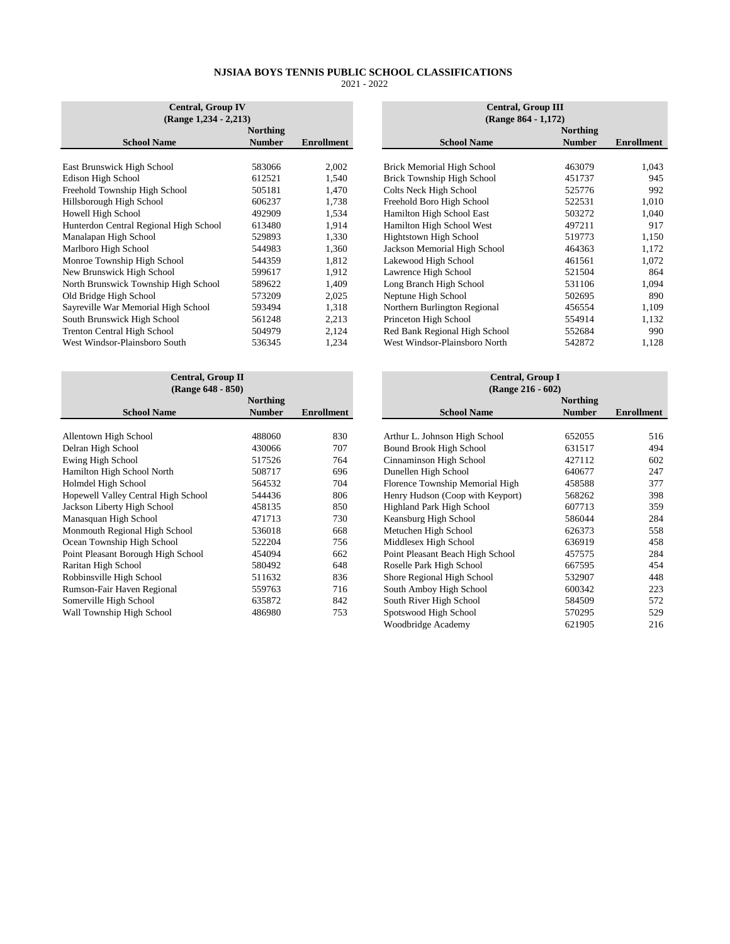| <b>Central, Group IV</b><br>(Range 1,234 - 2,213) |                 |            | <b>Central, Group III</b><br>(Range 864 - 1,172) |                 |                   |
|---------------------------------------------------|-----------------|------------|--------------------------------------------------|-----------------|-------------------|
|                                                   | <b>Northing</b> |            |                                                  | <b>Northing</b> |                   |
| <b>School Name</b>                                | <b>Number</b>   | Enrollment | <b>School Name</b>                               | <b>Number</b>   | <b>Enrollment</b> |
|                                                   |                 |            |                                                  |                 |                   |
| East Brunswick High School                        | 583066          | 2,002      | <b>Brick Memorial High School</b>                | 463079          | 1,043             |
| Edison High School                                | 612521          | 1,540      | Brick Township High School                       | 451737          | 945               |
| Freehold Township High School                     | 505181          | 1.470      | Colts Neck High School                           | 525776          | 992               |
| Hillsborough High School                          | 606237          | 1,738      | Freehold Boro High School                        | 522531          | 1,010             |
| Howell High School                                | 492909          | 1,534      | Hamilton High School East                        | 503272          | 1,040             |
| Hunterdon Central Regional High School            | 613480          | 1,914      | Hamilton High School West                        | 497211          | 917               |
| Manalapan High School                             | 529893          | 1,330      | Hightstown High School                           | 519773          | 1,150             |
| Marlboro High School                              | 544983          | 1,360      | Jackson Memorial High School                     | 464363          | 1,172             |
| Monroe Township High School                       | 544359          | 1,812      | Lakewood High School                             | 461561          | 1,072             |
| New Brunswick High School                         | 599617          | 1,912      | Lawrence High School                             | 521504          | 864               |
| North Brunswick Township High School              | 589622          | 1,409      | Long Branch High School                          | 531106          | 1,094             |
| Old Bridge High School                            | 573209          | 2,025      | Neptune High School                              | 502695          | 890               |
| Sayreville War Memorial High School               | 593494          | 1,318      | Northern Burlington Regional                     | 456554          | 1,109             |
| South Brunswick High School                       | 561248          | 2,213      | Princeton High School                            | 554914          | 1,132             |
| <b>Trenton Central High School</b>                | 504979          | 2,124      | Red Bank Regional High School                    | 552684          | 990               |
| West Windsor-Plainsboro South                     | 536345          | 1,234      | West Windsor-Plainsboro North                    | 542872          | 1,128             |

| Central, Group II<br>(Range 648 - 850) |                 |            | <b>Central, Group I</b><br>(Range 216 - 602) |                 |                   |
|----------------------------------------|-----------------|------------|----------------------------------------------|-----------------|-------------------|
|                                        | <b>Northing</b> |            |                                              | <b>Northing</b> |                   |
| <b>School Name</b>                     | <b>Number</b>   | Enrollment | <b>School Name</b>                           | <b>Number</b>   | <b>Enrollment</b> |
|                                        |                 |            |                                              |                 |                   |
| Allentown High School                  | 488060          | 830        | Arthur L. Johnson High School                | 652055          | 516               |
| Delran High School                     | 430066          | 707        | Bound Brook High School                      | 631517          | 494               |
| Ewing High School                      | 517526          | 764        | Cinnaminson High School                      | 427112          | 602               |
| Hamilton High School North             | 508717          | 696        | Dunellen High School                         | 640677          | 247               |
| Holmdel High School                    | 564532          | 704        | Florence Township Memorial High              | 458588          | 377               |
| Hopewell Valley Central High School    | 544436          | 806        | Henry Hudson (Coop with Keyport)             | 568262          | 398               |
| Jackson Liberty High School            | 458135          | 850        | Highland Park High School                    | 607713          | 359               |
| Manasquan High School                  | 471713          | 730        | Keansburg High School                        | 586044          | 284               |
| Monmouth Regional High School          | 536018          | 668        | Metuchen High School                         | 626373          | 558               |
| Ocean Township High School             | 522204          | 756        | Middlesex High School                        | 636919          | 458               |
| Point Pleasant Borough High School     | 454094          | 662        | Point Pleasant Beach High School             | 457575          | 284               |
| Raritan High School                    | 580492          | 648        | Roselle Park High School                     | 667595          | 454               |
| Robbinsville High School               | 511632          | 836        | Shore Regional High School                   | 532907          | 448               |
| Rumson-Fair Haven Regional             | 559763          | 716        | South Amboy High School                      | 600342          | 223               |
| Somerville High School                 | 635872          | 842        | South River High School                      | 584509          | 572               |
| Wall Township High School              | 486980          | 753        | Spotswood High School                        | 570295          | 529               |

| <b>Central, Group IV</b> |                 |                   | <b>Central, Group III</b>         |                 |                   |
|--------------------------|-----------------|-------------------|-----------------------------------|-----------------|-------------------|
| Range 1,234 - 2,213)     |                 |                   | (Range 864 - 1,172)               |                 |                   |
|                          | <b>Northing</b> |                   |                                   | <b>Northing</b> |                   |
| <b>ne</b>                | <b>Number</b>   | <b>Enrollment</b> | <b>School Name</b>                | <b>Number</b>   | <b>Enrollment</b> |
|                          |                 |                   |                                   |                 |                   |
|                          | 583066          | 2,002             | <b>Brick Memorial High School</b> | 463079          | 1,043             |
|                          | 612521          | 1,540             | Brick Township High School        | 451737          | 945               |
| hool                     | 505181          | 1,470             | Colts Neck High School            | 525776          | 992               |
|                          | 606237          | 1,738             | Freehold Boro High School         | 522531          | 1,010             |
|                          | 492909          | 1,534             | Hamilton High School East         | 503272          | 1,040             |
| High School              | 613480          | 1,914             | Hamilton High School West         | 497211          | 917               |
|                          | 529893          | 1,330             | Hightstown High School            | 519773          | 1,150             |
|                          | 544983          | 1,360             | Jackson Memorial High School      | 464363          | 1,172             |
| iool                     | 544359          | 1,812             | Lakewood High School              | 461561          | 1,072             |
| Σl                       | 599617          | 1,912             | Lawrence High School              | 521504          | 864               |
| High School              | 589622          | 1,409             | Long Branch High School           | 531106          | 1,094             |
|                          | 573209          | 2,025             | Neptune High School               | 502695          | 890               |
| igh School               | 593494          | 1,318             | Northern Burlington Regional      | 456554          | 1,109             |
| юc                       | 561248          | 2,213             | Princeton High School             | 554914          | 1,132             |
| λl                       | 504979          | 2,124             | Red Bank Regional High School     | 552684          | 990               |
| outh                     | 536345          | 1,234             | West Windsor-Plainsboro North     | 542872          | 1,128             |
|                          |                 |                   |                                   |                 |                   |

| Central, Group II<br>(Range 648 - 850) |            |  |                                  |                 |                                              |
|----------------------------------------|------------|--|----------------------------------|-----------------|----------------------------------------------|
| Northing                               |            |  |                                  | <b>Northing</b> |                                              |
| <b>Number</b>                          | Enrollment |  | <b>School Name</b>               | <b>Number</b>   | Enrollment                                   |
|                                        |            |  |                                  |                 |                                              |
| 488060                                 | 830        |  | Arthur L. Johnson High School    | 652055          | 516                                          |
| 430066                                 | 707        |  | Bound Brook High School          | 631517          | 494                                          |
| 517526                                 | 764        |  | Cinnaminson High School          | 427112          | 602                                          |
| 508717                                 | 696        |  | Dunellen High School             | 640677          | 247                                          |
| 564532                                 | 704        |  | Florence Township Memorial High  | 458588          | 377                                          |
| 544436                                 | 806        |  | Henry Hudson (Coop with Keyport) | 568262          | 398                                          |
| 458135                                 | 850        |  | Highland Park High School        | 607713          | 359                                          |
| 471713                                 | 730        |  | Keansburg High School            | 586044          | 284                                          |
| 536018                                 | 668        |  | Metuchen High School             | 626373          | 558                                          |
| 522204                                 | 756        |  | Middlesex High School            | 636919          | 458                                          |
| 454094                                 | 662        |  | Point Pleasant Beach High School | 457575          | 284                                          |
| 580492                                 | 648        |  | Roselle Park High School         | 667595          | 454                                          |
| 511632                                 | 836        |  | Shore Regional High School       | 532907          | 448                                          |
| 559763                                 | 716        |  | South Amboy High School          | 600342          | 223                                          |
| 635872                                 | 842        |  | South River High School          | 584509          | 572                                          |
| 486980                                 | 753        |  | Spotswood High School            | 570295          | 529                                          |
|                                        |            |  | Woodbridge Academy               | 621905          | 216                                          |
|                                        |            |  |                                  |                 | <b>Central, Group I</b><br>(Range 216 - 602) |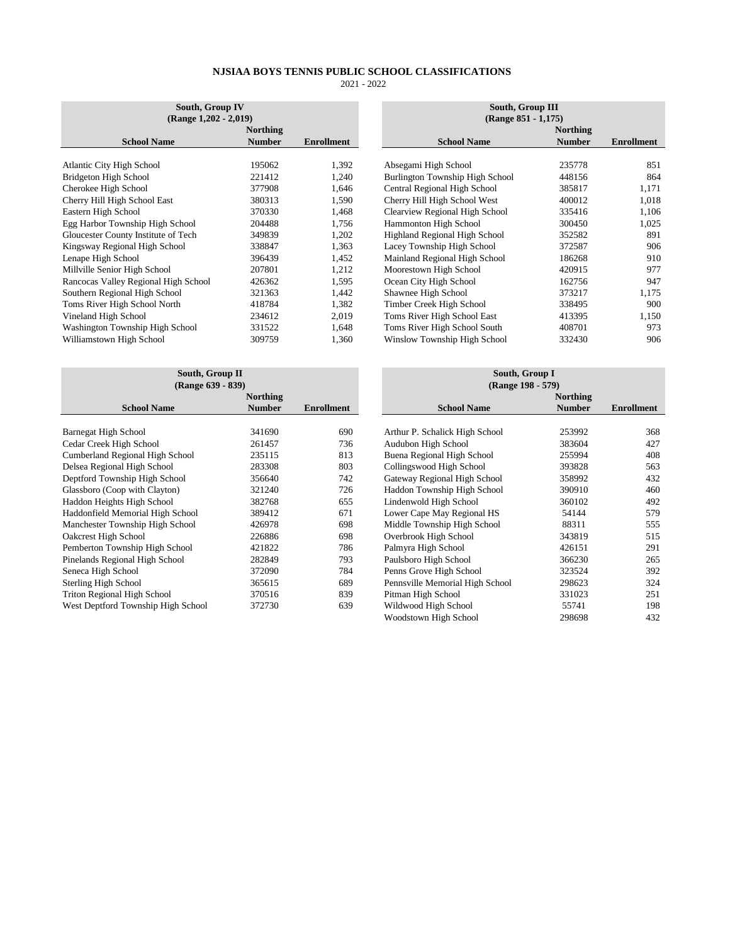| South, Group IV<br>$(Range 1,202 - 2,019)$ |               |                   | South, Group III<br>(Range 851 - 1,175) |  |               |                   |
|--------------------------------------------|---------------|-------------------|-----------------------------------------|--|---------------|-------------------|
| <b>Northing</b>                            |               | <b>Northing</b>   |                                         |  |               |                   |
| <b>School Name</b>                         | <b>Number</b> | <b>Enrollment</b> | <b>School Name</b>                      |  | <b>Number</b> | <b>Enrollment</b> |
|                                            |               |                   |                                         |  |               |                   |
| <b>Atlantic City High School</b>           | 195062        | 1,392             | Absegami High School                    |  | 235778        | 851               |
| Bridgeton High School                      | 221412        | 1,240             | Burlington Township High School         |  | 448156        | 864               |
| Cherokee High School                       | 377908        | 1,646             | Central Regional High School            |  | 385817        | 1,171             |
| Cherry Hill High School East               | 380313        | 1,590             | Cherry Hill High School West            |  | 400012        | 1,018             |
| Eastern High School                        | 370330        | 1,468             | Clearview Regional High School          |  | 335416        | 1,106             |
| Egg Harbor Township High School            | 204488        | 1,756             | Hammonton High School                   |  | 300450        | 1,025             |
| Gloucester County Institute of Tech        | 349839        | 1,202             | Highland Regional High School           |  | 352582        | 891               |
| Kingsway Regional High School              | 338847        | 1,363             | Lacey Township High School              |  | 372587        | 906               |
| Lenape High School                         | 396439        | 1,452             | Mainland Regional High School           |  | 186268        | 910               |
| Millville Senior High School               | 207801        | 1,212             | Moorestown High School                  |  | 420915        | 977               |
| Rancocas Valley Regional High School       | 426362        | 1,595             | Ocean City High School                  |  | 162756        | 947               |
| Southern Regional High School              | 321363        | 1,442             | Shawnee High School                     |  | 373217        | 1,175             |
| Toms River High School North               | 418784        | 1,382             | Timber Creek High School                |  | 338495        | 900               |
| Vineland High School                       | 234612        | 2,019             | Toms River High School East             |  | 413395        | 1,150             |
| Washington Township High School            | 331522        | 1,648             | Toms River High School South            |  | 408701        | 973               |
| Williamstown High School                   | 309759        | 1,360             | Winslow Township High School            |  | 332430        | 906               |

| South, Group II<br>(Range 639 - 839) |               |                   | South, Group I<br>(Range 198 - 579) |                 |                   |
|--------------------------------------|---------------|-------------------|-------------------------------------|-----------------|-------------------|
| <b>Northing</b>                      |               |                   |                                     | <b>Northing</b> |                   |
| <b>School Name</b>                   | <b>Number</b> | <b>Enrollment</b> | <b>School Name</b>                  | <b>Number</b>   | <b>Enrollment</b> |
|                                      |               |                   |                                     |                 |                   |
| Barnegat High School                 | 341690        | 690               | Arthur P. Schalick High School      | 253992          | 368               |
| Cedar Creek High School              | 261457        | 736               | Audubon High School                 | 383604          | 427               |
| Cumberland Regional High School      | 235115        | 813               | Buena Regional High School          | 255994          | 408               |
| Delsea Regional High School          | 283308        | 803               | Collingswood High School            | 393828          | 563               |
| Deptford Township High School        | 356640        | 742               | Gateway Regional High School        | 358992          | 432               |
| Glassboro (Coop with Clayton)        | 321240        | 726               | Haddon Township High School         | 390910          | 460               |
| Haddon Heights High School           | 382768        | 655               | Lindenwold High School              | 360102          | 492               |
| Haddonfield Memorial High School     | 389412        | 671               | Lower Cape May Regional HS          | 54144           | 579               |
| Manchester Township High School      | 426978        | 698               | Middle Township High School         | 88311           | 555               |
| <b>Oakcrest High School</b>          | 226886        | 698               | Overbrook High School               | 343819          | 515               |
| Pemberton Township High School       | 421822        | 786               | Palmyra High School                 | 426151          | 291               |
| Pinelands Regional High School       | 282849        | 793               | Paulsboro High School               | 366230          | 265               |
| Seneca High School                   | 372090        | 784               | Penns Grove High School             | 323524          | 392               |
| Sterling High School                 | 365615        | 689               | Pennsville Memorial High School     | 298623          | 324               |
| <b>Triton Regional High School</b>   | 370516        | 839               | Pitman High School                  | 331023          | 251               |
| West Deptford Township High School   | 372730        | 639               | Wildwood High School                | 55741           | 198               |
|                                      |               |                   |                                     |                 |                   |

|          |                   | South, Group III                |               |                   |  |
|----------|-------------------|---------------------------------|---------------|-------------------|--|
|          |                   | (Range 851 - 1,175)             |               |                   |  |
| Northing |                   |                                 | Northing      |                   |  |
| Number   | <b>Enrollment</b> | <b>School Name</b>              | <b>Number</b> | <b>Enrollment</b> |  |
|          |                   |                                 |               |                   |  |
| 195062   | 1,392             | Absegami High School            | 235778        | 851               |  |
| 221412   | 1,240             | Burlington Township High School | 448156        | 864               |  |
| 377908   | 1,646             | Central Regional High School    | 385817        | 1,171             |  |
| 380313   | 1,590             | Cherry Hill High School West    | 400012        | 1,018             |  |
| 370330   | 1,468             | Clearview Regional High School  | 335416        | 1,106             |  |
| 204488   | 1,756             | Hammonton High School           | 300450        | 1,025             |  |
| 349839   | 1,202             | Highland Regional High School   | 352582        | 891               |  |
| 338847   | 1,363             | Lacey Township High School      | 372587        | 906               |  |
| 396439   | 1,452             | Mainland Regional High School   | 186268        | 910               |  |
| 207801   | 1,212             | Moorestown High School          | 420915        | 977               |  |
| 426362   | 1,595             | Ocean City High School          | 162756        | 947               |  |
| 321363   | 1,442             | Shawnee High School             | 373217        | 1,175             |  |
| 418784   | 1,382             | Timber Creek High School        | 338495        | 900               |  |
| 234612   | 2,019             | Toms River High School East     | 413395        | 1,150             |  |
| 331522   | 1,648             | Toms River High School South    | 408701        | 973               |  |
| 309759   | 1,360             | Winslow Township High School    | 332430        | 906               |  |
|          |                   |                                 |               |                   |  |

|          |                   | South, Group I<br>(Range 198 - 579) |                 |                   |  |
|----------|-------------------|-------------------------------------|-----------------|-------------------|--|
| Northing |                   |                                     | <b>Northing</b> |                   |  |
| Number   | <b>Enrollment</b> | <b>School Name</b>                  | <b>Number</b>   | <b>Enrollment</b> |  |
|          |                   |                                     |                 |                   |  |
| 341690   | 690               | Arthur P. Schalick High School      | 253992          | 368               |  |
| 261457   | 736               | Audubon High School                 | 383604          | 427               |  |
| 235115   | 813               | Buena Regional High School          | 255994          | 408               |  |
| 283308   | 803               | Collingswood High School            | 393828          | 563               |  |
| 356640   | 742               | Gateway Regional High School        | 358992          | 432               |  |
| 321240   | 726               | Haddon Township High School         | 390910          | 460               |  |
| 382768   | 655               | Lindenwold High School              | 360102          | 492               |  |
| 389412   | 671               | Lower Cape May Regional HS          | 54144           | 579               |  |
| 426978   | 698               | Middle Township High School         | 88311           | 555               |  |
| 226886   | 698               | Overbrook High School               | 343819          | 515               |  |
| 421822   | 786               | Palmyra High School                 | 426151          | 291               |  |
| 282849   | 793               | Paulsboro High School               | 366230          | 265               |  |
| 372090   | 784               | Penns Grove High School             | 323524          | 392               |  |
| 365615   | 689               | Pennsville Memorial High School     | 298623          | 324               |  |
| 370516   | 839               | Pitman High School                  | 331023          | 251               |  |
| 372730   | 639               | Wildwood High School                | 55741           | 198               |  |
|          |                   | Woodstown High School               | 298698          | 432               |  |